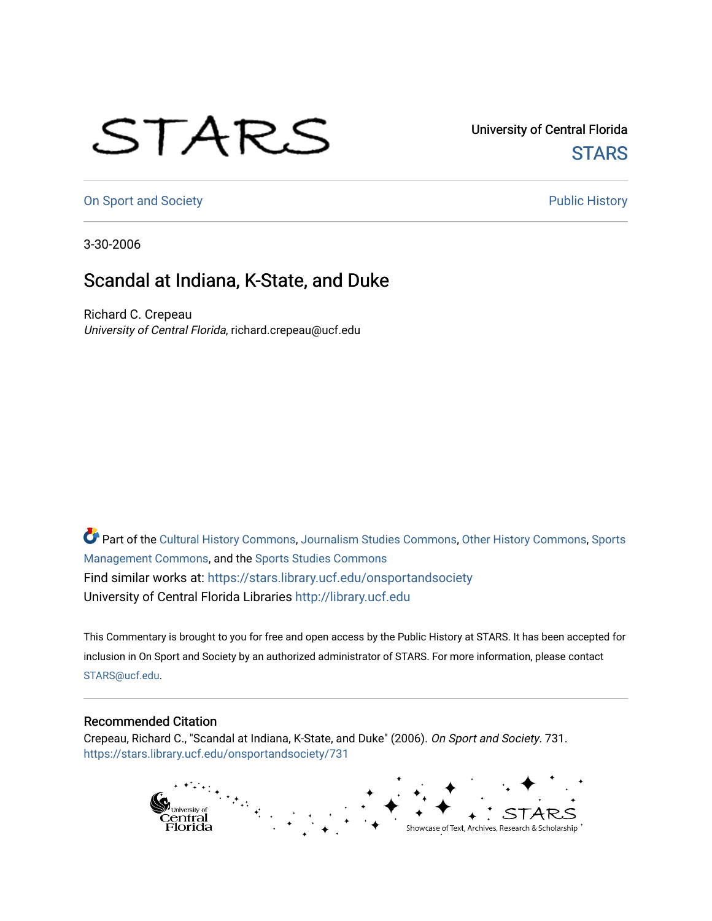## STARS

University of Central Florida **STARS** 

[On Sport and Society](https://stars.library.ucf.edu/onsportandsociety) **Public History** Public History

3-30-2006

## Scandal at Indiana, K-State, and Duke

Richard C. Crepeau University of Central Florida, richard.crepeau@ucf.edu

Part of the [Cultural History Commons](http://network.bepress.com/hgg/discipline/496?utm_source=stars.library.ucf.edu%2Fonsportandsociety%2F731&utm_medium=PDF&utm_campaign=PDFCoverPages), [Journalism Studies Commons,](http://network.bepress.com/hgg/discipline/333?utm_source=stars.library.ucf.edu%2Fonsportandsociety%2F731&utm_medium=PDF&utm_campaign=PDFCoverPages) [Other History Commons,](http://network.bepress.com/hgg/discipline/508?utm_source=stars.library.ucf.edu%2Fonsportandsociety%2F731&utm_medium=PDF&utm_campaign=PDFCoverPages) [Sports](http://network.bepress.com/hgg/discipline/1193?utm_source=stars.library.ucf.edu%2Fonsportandsociety%2F731&utm_medium=PDF&utm_campaign=PDFCoverPages) [Management Commons](http://network.bepress.com/hgg/discipline/1193?utm_source=stars.library.ucf.edu%2Fonsportandsociety%2F731&utm_medium=PDF&utm_campaign=PDFCoverPages), and the [Sports Studies Commons](http://network.bepress.com/hgg/discipline/1198?utm_source=stars.library.ucf.edu%2Fonsportandsociety%2F731&utm_medium=PDF&utm_campaign=PDFCoverPages) Find similar works at: <https://stars.library.ucf.edu/onsportandsociety> University of Central Florida Libraries [http://library.ucf.edu](http://library.ucf.edu/) 

This Commentary is brought to you for free and open access by the Public History at STARS. It has been accepted for inclusion in On Sport and Society by an authorized administrator of STARS. For more information, please contact [STARS@ucf.edu](mailto:STARS@ucf.edu).

## Recommended Citation

Crepeau, Richard C., "Scandal at Indiana, K-State, and Duke" (2006). On Sport and Society. 731. [https://stars.library.ucf.edu/onsportandsociety/731](https://stars.library.ucf.edu/onsportandsociety/731?utm_source=stars.library.ucf.edu%2Fonsportandsociety%2F731&utm_medium=PDF&utm_campaign=PDFCoverPages)

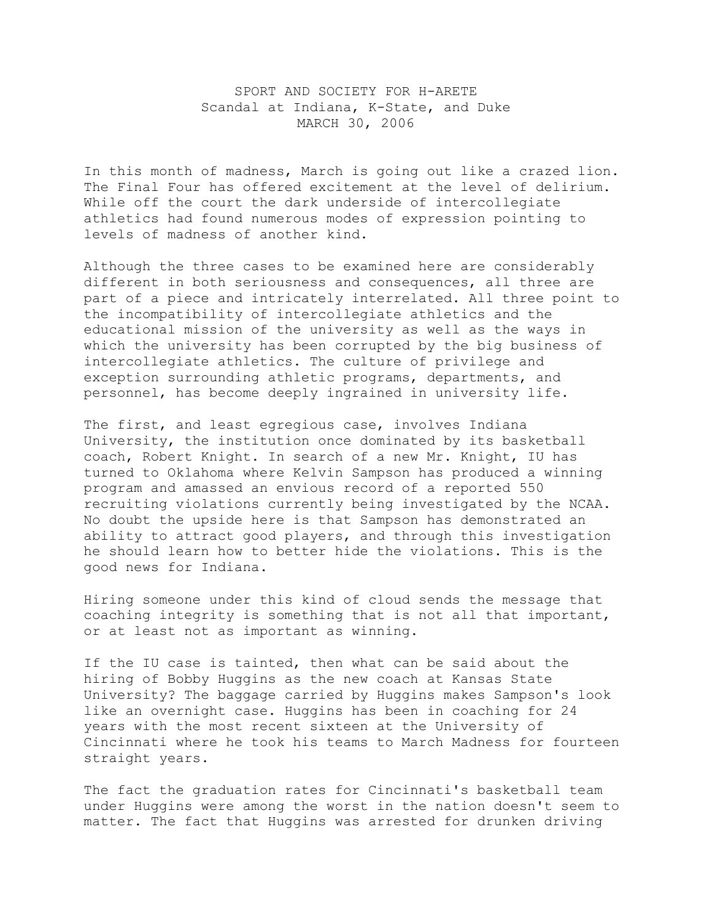## SPORT AND SOCIETY FOR H-ARETE Scandal at Indiana, K-State, and Duke MARCH 30, 2006

In this month of madness, March is going out like a crazed lion. The Final Four has offered excitement at the level of delirium. While off the court the dark underside of intercollegiate athletics had found numerous modes of expression pointing to levels of madness of another kind.

Although the three cases to be examined here are considerably different in both seriousness and consequences, all three are part of a piece and intricately interrelated. All three point to the incompatibility of intercollegiate athletics and the educational mission of the university as well as the ways in which the university has been corrupted by the big business of intercollegiate athletics. The culture of privilege and exception surrounding athletic programs, departments, and personnel, has become deeply ingrained in university life.

The first, and least egregious case, involves Indiana University, the institution once dominated by its basketball coach, Robert Knight. In search of a new Mr. Knight, IU has turned to Oklahoma where Kelvin Sampson has produced a winning program and amassed an envious record of a reported 550 recruiting violations currently being investigated by the NCAA. No doubt the upside here is that Sampson has demonstrated an ability to attract good players, and through this investigation he should learn how to better hide the violations. This is the good news for Indiana.

Hiring someone under this kind of cloud sends the message that coaching integrity is something that is not all that important, or at least not as important as winning.

If the IU case is tainted, then what can be said about the hiring of Bobby Huggins as the new coach at Kansas State University? The baggage carried by Huggins makes Sampson's look like an overnight case. Huggins has been in coaching for 24 years with the most recent sixteen at the University of Cincinnati where he took his teams to March Madness for fourteen straight years.

The fact the graduation rates for Cincinnati's basketball team under Huggins were among the worst in the nation doesn't seem to matter. The fact that Huggins was arrested for drunken driving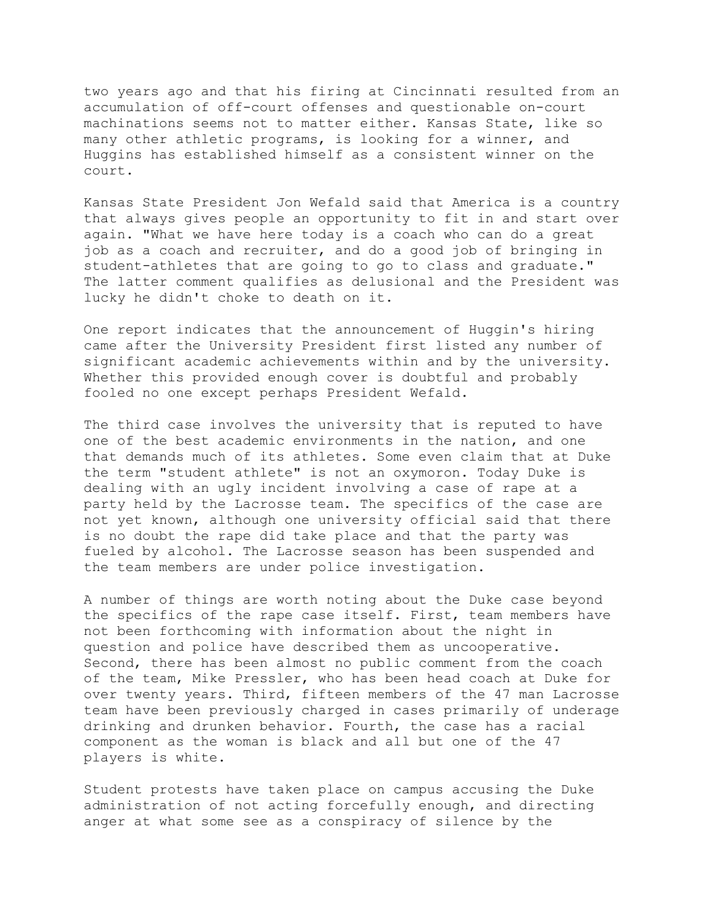two years ago and that his firing at Cincinnati resulted from an accumulation of off-court offenses and questionable on-court machinations seems not to matter either. Kansas State, like so many other athletic programs, is looking for a winner, and Huggins has established himself as a consistent winner on the court.

Kansas State President Jon Wefald said that America is a country that always gives people an opportunity to fit in and start over again. "What we have here today is a coach who can do a great job as a coach and recruiter, and do a good job of bringing in student-athletes that are going to go to class and graduate." The latter comment qualifies as delusional and the President was lucky he didn't choke to death on it.

One report indicates that the announcement of Huggin's hiring came after the University President first listed any number of significant academic achievements within and by the university. Whether this provided enough cover is doubtful and probably fooled no one except perhaps President Wefald.

The third case involves the university that is reputed to have one of the best academic environments in the nation, and one that demands much of its athletes. Some even claim that at Duke the term "student athlete" is not an oxymoron. Today Duke is dealing with an ugly incident involving a case of rape at a party held by the Lacrosse team. The specifics of the case are not yet known, although one university official said that there is no doubt the rape did take place and that the party was fueled by alcohol. The Lacrosse season has been suspended and the team members are under police investigation.

A number of things are worth noting about the Duke case beyond the specifics of the rape case itself. First, team members have not been forthcoming with information about the night in question and police have described them as uncooperative. Second, there has been almost no public comment from the coach of the team, Mike Pressler, who has been head coach at Duke for over twenty years. Third, fifteen members of the 47 man Lacrosse team have been previously charged in cases primarily of underage drinking and drunken behavior. Fourth, the case has a racial component as the woman is black and all but one of the 47 players is white.

Student protests have taken place on campus accusing the Duke administration of not acting forcefully enough, and directing anger at what some see as a conspiracy of silence by the